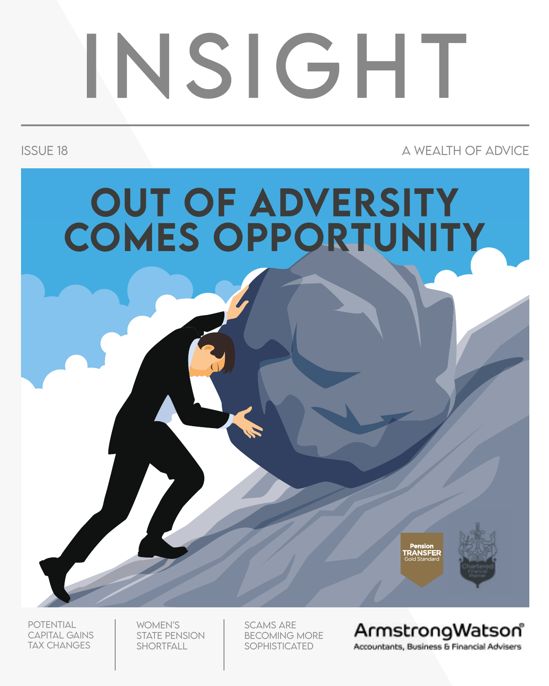# INSIGHT

ISSUE 18 A WEALTH OF ADVICE





**POTENTIAL CAPITAL GAINS** Tax changes

Women's state pension **SHORTFALL** 

Scams are becoming more sophisticated

ArmstrongWatson Accountants, Business & Financial Advisers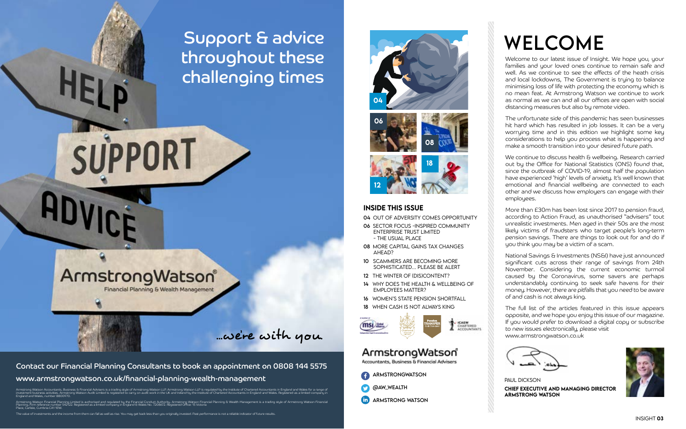Armstrong Watson Accountants, Business E Financial Advisers is a tradity of a state of the state of the instrong Watson LLP is regulated by the Institute of Chartered Accountants in England and Wales. Registered as a limit England and Wales, number 8800970.

Armstrong Watson Financial Planning Limited is authorised and regulated by the Financial Conduct Authority. Armstrong Watson Planning & Wealth Management is a trading style of Armstrong Watson Financial<br>Planning, Firm refe Place, Carlisle, Cumbria CA1 1EW.

The value of investments and the income from them can fall as well as rise. You may get back less than you originally invested. Past performance is not a reliable indicator of future results.

#### Contact our Financial Planning Consultants to book an appointment on 0808 144 5575 www.armstrongwatson.co.uk/financial-planning-wealth-management

...we're with you.

### Support & advice throughout these challenging times

ArmstrongWatson® Financial Planning & Wealth Management

SUPPORT

National Savings & Investments (NS&I) have just announced significant cuts across their range of savings from 24th November. Considering the current economic turmoil caused by the Coronavirus, some savers are perhaps understandably continuing to seek safe havens for their money. However, there are pitfalls that you need to be aware of and cash is not always king.

Welcome to our latest issue of Insight. We hope you, your families and your loved ones continue to remain safe and well. As we continue to see the effects of the heath crisis and local lockdowns, The Government is trying to balance minimising loss of life with protecting the economy which is no mean feat. At Armstrong Watson we continue to work as normal as we can and all our offices are open with social distancing measures but also by remote video.

The unfortunate side of this pandemic has seen businesses hit hard which has resulted in job losses. It can be a very worrying time and in this edition we highlight some key considerations to help you process what is happening and make a smooth transition into your desired future path.

We continue to discuss health & wellbeing. Research carried out by the Office for National Statistics (ONS) found that, since the outbreak of COVID-19, almost half the population have experienced 'high' levels of anxiety. It's well known that emotional and financial wellbeing are connected to each other and we discuss how employers can engage with their employees.

More than £30m has been lost since 2017 to pension fraud, according to Action Fraud, as unauthorised "advisers" tout unrealistic investments. Men aged in their 50s are the most likely victims of fraudsters who target people's long-term pension savings. There are things to look out for and do if you think you may be a victim of a scam.

The full list of the articles featured in this issue appears opposite, and we hope you enjoy this issue of our magazine. If you would prefer to download a digital copy or subscribe to new issues electronically, please visit www.armstrongwatson.co.uk



insight 03







#### inside this issue

- 04 Out of Adversity comes Opportunity
- 06 sector focus -INSPIRED COMMUNITY ENTERPRISE TRUST LIMITED - the usual place
- 08 More Capital Gains Tax changes AHEAD?
- 10 Scammers are Becoming more SOPHISTICATED **PLEASE BE ALERT**
- 12 THE WINTER OF (DIS)CONTENT?
- 14 Why does the health & wellbeing of employees matter?
- 16 Women's state pension shortfall
- 18 When cash is not always king





### ArmstrongWatson

Accountants, Business & Financial Advisers

armstrongwatson





paul dickson armstrong watson

# **WELCOME**

**CHIEF EXECUTIVE AND MANAGING DIRECTOR** 

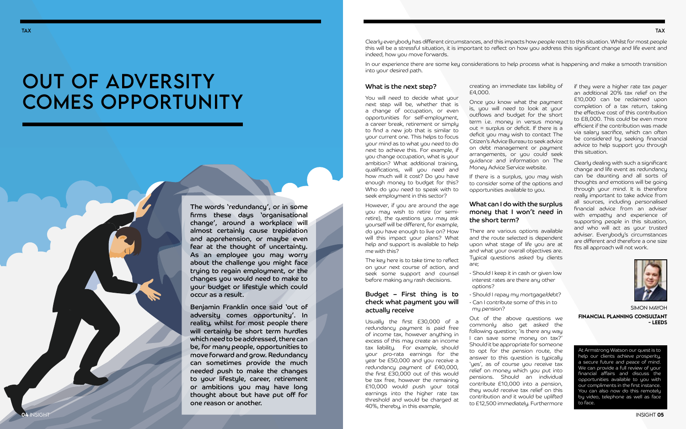04 INSI

## OUT OF ADVERSITY comes Opportunity

#### What is the next step?

You will need to decide what your next step will be, whether that is a change of occupation, or even opportunities for self-employment, a career break, retirement or simply to find a new job that is similar to your current one. This helps to focus your mind as to what you need to do next to achieve this. For example, if you change occupation, what is your ambition? What additional training, qualifications, will you need and how much will it cost? Do you have enough money to budget for this? Who do you need to speak with to seek employment in this sector?

However, if you are around the age you may wish to retire (or semiretire), the questions you may ask yourself will be different, for example, do you have enough to live on? How will this impact your plans? What help and support is available to help me with this?

The key here is to take time to reflect on your next course of action, and seek some support and counsel before making any rash decisions.

If there is a surplus, you may wish to consider some of the options and opportunities available to you.

#### Budget – First thing is to check what payment you will actually receive

Usually the first £30,000 of a redundancy payment is paid free of income tax, however anything in excess of this may create an income tax liability. For example, should your pro-rata earnings for the year be £50,000 and you receive a redundancy payment of £40,000, the first £30,000 out of this would be tax free, however the remaining £10,000 would push your total earnings into the higher rate tax threshold and would be charged at 40%, thereby, in this example,

creating an immediate tax liability of £4,000.

Once you know what the payment is, you will need to look at your outflows and budget for the short term i.e. money in versus money out = surplus or deficit. If there is a deficit you may wish to contact The Citizen's Advice Bureau to seek advice on debt management or payment arrangements, or you could seek guidance and information on The Money Advice Service website.

#### What can I do with the surplus money that I won't need in the short term?

There are various options available and the route selected is dependent upon what stage of life you are at and what your overall objectives are. Typical questions asked by clients are;

- Should I keep it in cash or given low interest rates are there any other options?
- Should I repay my mortgage/debt?
- Can I contribute some of this in to my pension?

Out of the above questions we commonly also get asked the following question; 'is there any way I can save some money on tax?' Should it be appropriate for someone to opt for the pension route, the answer to this question is typically 'ues', as of course you receive tax relief on money which you put into pensions. Should an individual contribute £10,000 into a pension, they would receive tax relief on this contribution and it would be uplifted to £12,500 immediately. Furthermore

if they were a higher rate tax payer an additional 20% tax relief on the £10,000 can be reclaimed upon completion of a tax return, taking the effective cost of this contribution to £8,000. This could be even more efficient if the contribution was made via salary sacrifice, which can often be considered by seeking financial advice to help support you through this situation.

Clearly dealing with such a significant change and life event as redundancy can be daunting and all sorts of thoughts and emotions will be going through your mind. It is therefore really important to take advice from all sources, including personalised financial advice from an adviser with empathy and experience of supporting people in this situation, and who will act as your trusted adviser. Everybody's circumstances are different and therefore a one size fits all approach will not work.



insight 05

At Armstrong Watson our quest is to help our clients achieve prosperity, a secure future and peace of mind. We can provide a full review of your financial affairs and discuss the opportunities available to you with our compliments in the first instance. You can also now do this remotely by video, telephone as well as face to face.

#### tax

Clearly everybody has different circumstances, and this impacts how people react to this situation. Whilst for most people this will be a stressful situation, it is important to reflect on how you address this significant change and life event and indeed, how you move forwards.

In our experience there are some key considerations to help process what is happening and make a smooth transition into your desired path.

The words 'redundancy', or in some firms these days 'organisational change', around a workplace will almost certainly cause trepidation and apprehension, or maybe even fear at the thought of uncertainty. As an employee you may worry about the challenge you might face trying to regain employment, or the changes you would need to make to your budget or lifestyle which could occur as a result.

Benjamin Franklin once said 'out of adversity comes opportunity'. In reality, whilst for most people there will certainly be short term hurdles which need to be addressed, there can be, for many people, opportunities to move forward and grow. Redundancy can sometimes provide the much needed push to make the changes to your lifestyle, career, retirement or ambitions you may have long thought about but have put off for one reason or another.

Simon MAyoh

Financial Planning consultant - leeds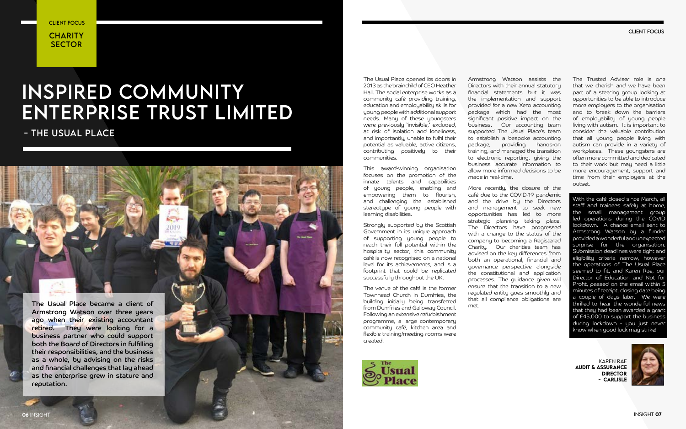The Usual Place opened its doors in 2013 as the brainchild of CEO Heather Hall. The social enterprise works as a community café providing training, education and employability skills for young people with additional support needs. Many of these youngsters were previously 'invisible,' excluded, at risk of isolation and loneliness, and importantly, unable to fulfil their potential as valuable, active citizens, contributing positively to their communities.

This award-winning organisation focuses on the promotion of the innate talents and capabilities of young people, enabling and empowering them to flourish, and challenging the established stereotype of young people with learning disabilities.

Strongly supported by the Scottish Government in its unique approach of supporting young people to reach their full potential within the hospitality sector, this community café is now recognised on a national level for its achievements, and is a footprint that could be replicated successfully throughout the UK.

The venue of the café is the former Townhead Church in Dumfries, the building initially being transferred from Dumfries and Galloway Council. Following an extensive refurbishment programme, a large contemporary community café, kitchen area and flexible training/meeting rooms were created.



**CHARITY SECTOR** client focus

> Armstrong Watson assists the Directors with their annual statutory financial statements but it was the implementation and support provided for a new Xero accounting package which had the most significant positive impact on the business. Our accounting team supported The Usual Place's team to establish a bespoke accounting package, providing hands-on training, and managed the transition to electronic reporting, giving the business accurate information to allow more informed decisions to be made in real-time.

> More recently, the closure of the café due to the COVID-19 pandemic and the drive by the Directors and management to seek new opportunities has led to more strategic planning taking place. The Directors have progressed with a change to the status of the company to becoming a Registered Charity. Our charities team has advised on the key differences from both an operational, financial and governance perspective alongside the constitutional and application processes. The guidance given will ensure that the transition to a new regulated entity goes smoothly and that all compliance obligations are met.

client focus

### INSPIRED COMMUNITY ENTERPRISE TRUST LIMITED

- THE USUAL PLACE



and financial challenges that lay ahead as the enterprise grew in stature and

reputation.

karen rae Audit & Assurance **DIRECTOR** - carlisle



The Trusted Adviser role is one that we cherish and we have been part of a steering group looking at opportunities to be able to introduce more employers to the organisation and to break down the barriers of employability of young people living with autism. It is important to consider the valuable contribution that all young people living with autism can provide in a variety of workplaces. These youngsters are often more committed and dedicated to their work but may need a little more encouragement, support and time from their employers at the outset.

With the café closed since March, all staff and trainees safely at home, the small management group led operations during the COVID lockdown. A chance email sent to Armstrong Watson by a funder provided a wonderful and unexpected surprise for the organisation. Submission deadlines were tight and eligibility criteria narrow, however the operations of The Usual Place seemed to fit, and Karen Rae, our Director of Education and Not for Profit, passed on the email within 5 minutes of receipt, closing date being a couple of days later. We were thrilled to hear the wonderful news that they had been awarded a grant of £45,000 to support the business during lockdown - you just never know when good luck may strike!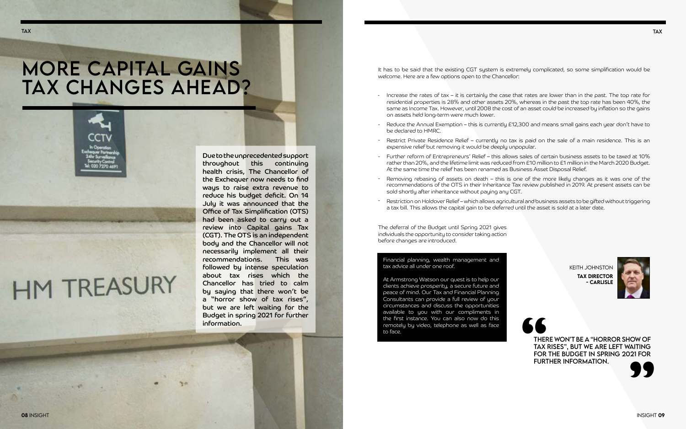### More Capital Gains Tax changes ahead?



# **HM TREASURY**

It has to be said that the existing CGT system is extremely complicated, so some simplification would be welcome. Here are a few options open to the Chancellor:

The deferral of the Budget until Spring 2021 gives individuals the opportunity to consider taking action before changes are introduced.

- Increase the rates of tax it is certainly the case that rates are lower than in the past. The top rate for residential properties is 28% and other assets 20%, whereas in the past the top rate has been 40%, the same as Income Tax. However, until 2008 the cost of an asset could be increased by inflation so the gains on assets held long-term were much lower.
- Reduce the Annual Exemption this is currently £12,300 and means small gains each year don't have to be declared to HMRC. -
- Restrict Private Residence Relief currently no tax is paid on the sale of a main residence. This is an expensive relief but removing it would be deeply unpopular.
- Further reform of Entrepreneurs' Relief this allows sales of certain business assets to be taxed at 10% rather than 20%, and the lifetime limit was reduced from £10 million to £1 million in the March 2020 Budget. At the same time the relief has been renamed as Business Asset Disposal Relief.
- Removing rebasing of assets on death this is one of the more likely changes as it was one of the recommendations of the OTS in their Inheritance Tax review published in 2019. At present assets can be sold shortly after inheritance without paying any CGT.
- Restriction on Holdover Relief which allows agricultural and business assets to be gifted without triggering a tax bill. This allows the capital gain to be deferred until the asset is sold at a later date.

### **SPORTAX**<br>TAX<br>FOR FURT there won't be a "horror show of tax rises", but we are left waiting further information. **"** for the Budget in spring 2021 for



**KEITH JOHNSTO** tax director - carlisle



#### Financial planning, wealth management and tax advice all under one roof.

At Armstrong Watson our quest is to help our clients achieve prosperity, a secure future and peace of mind. Our Tax and Financial Planning Consultants can provide a full review of your circumstances and discuss the opportunities available to you with our compliments in the first instance. You can also now do this remotely by video, telephone as well as face to face.

Due to the unprecedented support throughout this continuing health crisis, The Chancellor of the Exchequer now needs to find ways to raise extra revenue to reduce his budget deficit. On 14 July it was announced that the Office of Tax Simplification (OTS) had been asked to carry out a review into Capital gains Tax (CGT). The OTS is an independent body and the Chancellor will not necessarily implement all their recommendations. This was followed by intense speculation about tax rises which the Chancellor has tried to calm by saying that there won't be a "horror show of tax rises", but we are left waiting for the Budget in spring 2021 for further information.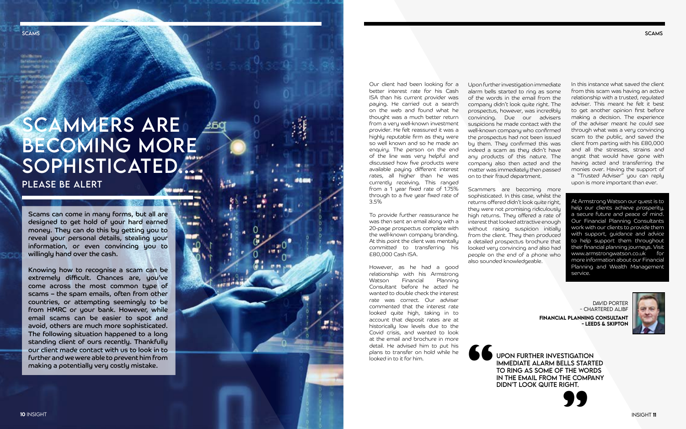**SCAMS** 

**Williams** deep Tells-to

> Our client had been looking for a better interest rate for his Cash ISA than his current provider was paying. He carried out a search on the web and found what he thought was a much better return from a very well-known investment provider. He felt reassured it was a highly reputable firm as they were so well known and so he made an enquiry. The person on the end of the line was very helpful and discussed how five products were available paying different interest rates, all higher than he was currently receiving. This ranged from a 1 year fixed rate of 1.75% through to a five year fixed rate of 3.5%

> To provide further reassurance he was then sent an email along with a 20-page prospectus complete with the well-known company branding. At this point the client was mentally committed to transferring his £80,000 Cash ISA.

However, as he had a good relationship with his Armstrong<br>Watson - Financial - Planning Watson Financial Consultant before he acted he wanted to double check the interest rate was correct. Our adviser commented that the interest rate looked quite high, taking in to account that deposit rates are at historically low levels due to the Covid crisis, and wanted to look at the email and brochure in more detail. He advised him to put his plans to transfer on hold while he looked in to it for him.

### SCAMMERS ARE Becoming more SOPHISTICATED… please be alert

*Change Company* 

**MI BAY** 

**The common** 

Upon further investigation immediate alarm bells started to ring as some of the words in the email from the company didn't look quite right. The prospectus, however, was incredibly convincing. Due our advisers suspicions he made contact with the well-known company who confirmed the prospectus had not been issued by them. They confirmed this was indeed a scam as they didn't have any products of this nature. The company also then acted and the matter was immediately then passed on to their fraud department.

Scammers are becoming more sophisticated. In this case, whilst the returns offered didn't look quite right, they were not promising ridiculously high returns. They offered a rate of interest that looked attractive enough without raising suspicion initially from the client. They then produced a detailed prospectus brochure that looked very convincing and also had people on the end of a phone who also sounded knowledgeable.

 $\overline{\phantom{a}}$ ID PORTER - CHARTERED ALIB f FINANCIAL PLANNING CONSULTANT - LEEDS & SKIPTON o



Scams can come in many forms, but all are designed to get hold of your hard earned money. They can do this by getting you to reveal your personal details, stealing your information, or even convincing you to willingly hand over the cash.

Knowing how to recognise a scam can be extremely difficult. Chances are, you've come across the most common type of scams – the spam emails, often from other countries, or attempting seemingly to be from HMRC or your bank. However, while email scams can be easier to spot and avoid, others are much more sophisticated. The following situation happened to a long standing client of ours recently. Thankfully our client made contact with us to look in to further and we were able to prevent him from making a potentially very costly mistake.

In this instance what saved the client from this scam was having an active relationship with a trusted, regulated adviser. This meant he felt it best to get another opinion first before making a decision. The experience of the adviser meant he could see through what was a very convincing scam to the public, and saved the client from parting with his £80,000 and all the stresses, strains and angst that would have gone with having acted and transferring the monies over. Having the support of a "Trusted Adviser" you can reply upon is more important than ever.

At Armstrong Watson our quest is to help our clients achieve prosperity, a secure future and peace of mind. Our Financial Planning Consultants work with our clients to provide them with support, guidance and advice to help support them throughout their financial planning journeys. Visit www.armstrongwatson.co.uk for more information about our Financial Planning and Wealth Management service.

**"** Upon further investigation immediate alarm bells started to ring as some of the words in the email from the company didn't look quite right.

**SCAMS** 



**INSIGHT 11**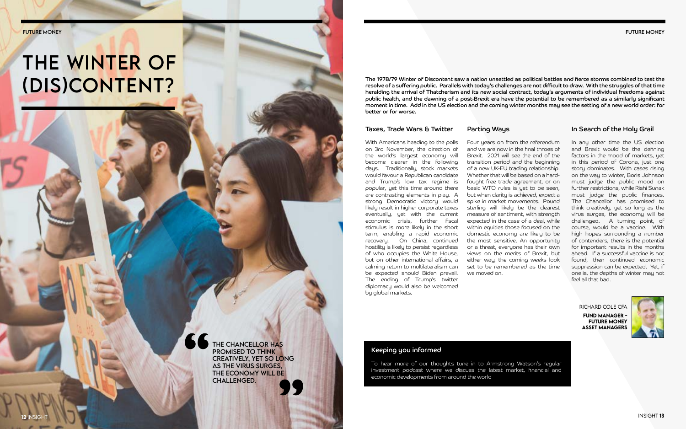# THE WINTER OF (DIS)CONTENT?

THE CHANCELLOR HAS<br>
PROMISED TO THINK<br>
CREATIVELY, YET SO LO<br>
AS THE VIRUS SURGES,<br>
THE ECONOMY WILL BE<br>
CHALLENGED. promised to think creatively, yet so long as the virus surges, the economy will be AS THE VIRUS SURGES,<br>THE ECONOMY WILL BE<br>CHALLENGED. future money

#### Taxes, Trade Wars & Twitter

With Americans heading to the polls on 3rd November, the direction of the world's largest economy will become clearer in the following days. Traditionally, stock markets would favour a Republican candidate and Trump's low tax regime is popular, yet this time around there are contrasting elements in play. A strong Democratic victory would likely result in higher corporate taxes eventually, yet with the current economic crisis, further fiscal stimulus is more likely in the short term, enabling a rapid economic recovery. On China, continued hostility is likely to persist regardless of who occupies the White House, but on other international affairs, a calming return to multilateralism can be expected should Biden prevail. The ending of Trump's twitter diplomacy would also be welcomed by global markets.

#### In Search of the Holy Grail

In any other time the US election and Brexit would be the defining factors in the mood of markets, yet in this period of Corona, just one story dominates. With cases rising on the way to winter, Boris Johnson must judge the public mood on further restrictions, while Rishi Sunak must judge the public finances. The Chancellor has promised to think creatively, yet so long as the virus surges, the economy will be challenged. A turning point, of course, would be a vaccine. With high hopes surrounding a number of contenders, there is the potential for important results in the months ahead. If a successful vaccine is not found, then continued economic suppression can be expected. Yet, if one is, the depths of winter may not feel all that bad.

richard cole cfa fund manager - **FUTURE MONEY** Asset Managers



#### Keeping you informed

To hear more of our thoughts tune in to Armstrong Watson's regular investment podcast where we discuss the latest market, financial and economic developments from around the world

Parting Ways

Four years on from the referendum and we are now in the final throes of Brexit. 2021 will see the end of the transition period and the beginning of a new UK-EU trading relationship. Whether that will be based on a hardfought free trade agreement, or on basic WTO rules is yet to be seen, but when clarity is achieved, expect a spike in market movements. Pound sterling will likely be the clearest measure of sentiment, with strength expected in the case of a deal, while within equities those focused on the domestic economy are likely to be the most sensitive. An opportunity or a threat, everyone has their own views on the merits of Brexit, but either way, the coming weeks look set to be remembered as the time we moved on.

The 1978/79 Winter of Discontent saw a nation unsettled as political battles and fierce storms combined to test the resolve of a suffering public. Parallels with today's challenges are not difficult to draw. With the struggles of that time heralding the arrival of Thatcherism and its new social contract, today's arguments of individual freedoms against public health, and the dawning of a post-Brexit era have the potential to be remembered as a similarly significant moment in time. Add in the US election and the coming winter months may see the setting of a new world order: for better or for worse.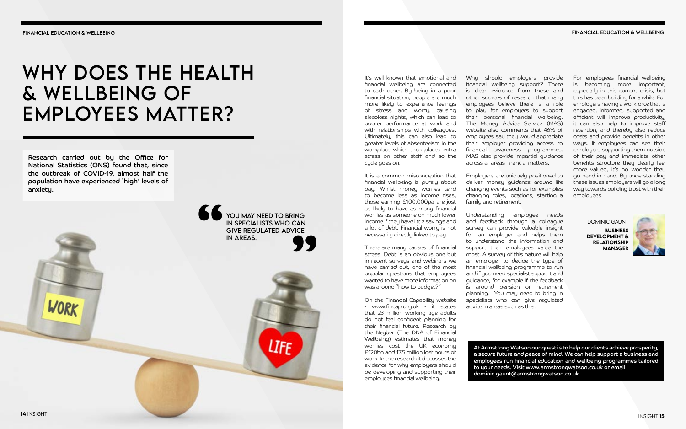#### financial education & wellbeing

It's well known that emotional and financial wellbeing are connected to each other. By being in a poor financial situation, people are much more likely to experience feelings of stress and worry, causing sleepless nights, which can lead to poorer performance at work and with relationships with colleagues. Ultimately, this can also lead to greater levels of absenteeism in the workplace which then places extra stress on other staff and so the cycle goes on.

It is a common misconception that financial wellbeing is purely about pay. Whilst money worries tend to become less as income rises, those earning £100,000pa are just as likely to have as many financial worries as someone on much lower income if they have little savings and a lot of debt. Financial worry is not necessarily directly linked to pay.

There are many causes of financial stress. Debt is an obvious one but in recent surveys and webinars we have carried out, one of the most popular questions that employees wanted to have more information on was around "how to budget?"

On the Financial Capability website - www.fincap.org.uk - it states that 23 million working age adults do not feel confident planning for their financial future. Research by the Neyber (The DNA of Financial Wellbeing) estimates that money worries cost the UK economy £120bn and 17.5 million lost hours of work. In the research it discusses the evidence for why employers should be developing and supporting their employees financial wellbeing.

Why should employers provide financial wellbeing support? There is clear evidence from these and other sources of research that many employees believe there is a role to play for employers to support their personal financial wellbeing. The Money Advice Service (MAS) website also comments that 46% of employees say they would appreciate their employer providing access to financial awareness programmes. MAS also provide impartial guidance across all areas financial matters.

### WHY DOES THE HEALTH & wellbeing of employees matter?

Employers are uniquely positioned to deliver money guidance around life changing events such as for examples changing roles, locations, starting a family and retirement.

Understanding employee needs and feedback through a colleague survey can provide valuable insight for an employer and helps them to understand the information and support their employees value the most. A survey of this nature will help an employer to decide the type of financial wellbeing programme to run and if you need specialist support and guidance, for example if the feedback is around pension or retirement planning. You may need to bring in specialists who can give regulated advice in areas such as this.

For employees financial wellbeing is becoming more important, especially in this current crisis, but this has been building for a while. For employers having a workforce that is engaged, informed, supported and efficient will improve productivity, it can also help to improve staff retention, and thereby also reduce costs and provide benefits in other ways. If employees can see their employers supporting them outside of their pay and immediate other benefits structure they clearly feel more valued, it's no wonder they go hand in hand. By understanding these issues employers will go a long way towards building trust with their employees.

At Armstrong Watson our quest is to help our clients achieve prosperity, a secure future and peace of mind. We can help support a business and employees run financial education and wellbeing programmes tailored to your needs. Visit www.armstrongwatson.co.uk or email dominic.gaunt@armstrongwatson.co.uk

WORK

dominic Gaunt

Business Development & **RELATIONSHIP** Manager



Research carried out by the Office for National Statistics (ONS) found that, since the outbreak of COVID-19, almost half the population have experienced 'high' levels of anxiety.

> **PARA BURGAL SUITE AND ARRIVE REGULATED AND ARRANGIVE REGULATED AND ARRANGING SUITABLE SUITE AND ARRANGING SUITABLE SUITABLE SUITABLE SUITABLE SUITABLE SUITABLE SUITABLE SUITABLE SUITABLE SUITABLE SUITABLE SUITABLE SUITABL** in specialists who can ensure that some  $\mathsf{IN}\ \mathsf{SPECIALISTS}\ \mathsf{WHO}\ \mathsf{CAN}$ form of normality, at least  $\sim$  GIVE REGULATED ADVICE IN AREAS. IN SPECIALISTS WHO CAN<br>GIVE REGULATED ADVICE<br>IN AREAS. **"** You may need to bring **n** areas. **99**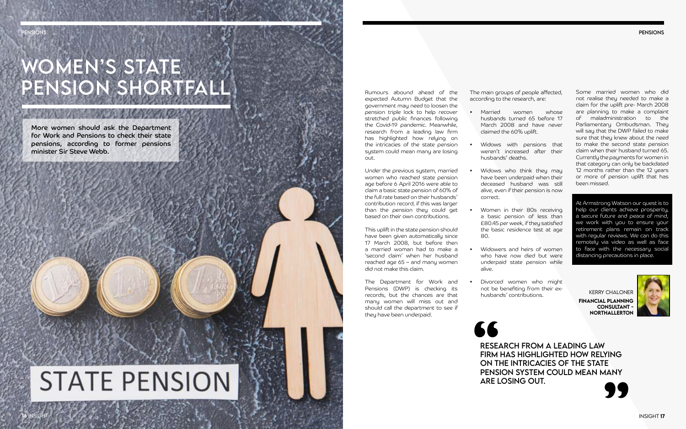# WOMEN'S STATE pension shortfall

pensions

Rumours abound ahead of the expected Autumn Budget that the government may need to loosen the pension triple lock to help recover stretched public finances following the Covid-19 pandemic. Meanwhile, research from a leading law firm has highlighted how relying on the intricacies of the state pension system could mean many are losing out.

Under the previous system, married women who reached state pension age before 6 April 2016 were able to claim a basic state pension of 60% of the full rate based on their husbands' contribution record, if this was larger than the pension they could get based on their own contributions.

This uplift in the state pension should have been given automatically since 17 March 2008, but before then a married woman had to make a 'second claim' when her husband reached age 65 – and many women did not make this claim.

The Department for Work and Pensions (DWP) is checking its records, but the chances are that many women will miss out and should call the department to see if they have been underpaid.

The main groups of people affected, according to the research, are:

> Financial Planning Consultant - **NORTHALLERTON**





- Married women whose husbands turned 65 before 17 March 2008 and have never claimed the 60% uplift.
- Widows with pensions that weren't increased after their husbands' deaths.
- Widows who think they may have been underpaid when their deceased husband was still alive, even if their pension is now correct.
- Women in their 80s receiving a basic pension of less than £80.45 per week, if they satisfied the basic residence test at age 80.
- Widowers and heirs of women who have now died but were underpaid state pension while alive.
- Divorced women who might not be benefiting from their exhusbands' contributions.

**SSE**<br>RESE<br>FIRM<br>ON TI research from a leading law firm has highlighted how relying on the intricacies of the state pension system could mean many ON THE INTRICACTES OF THE STATE<br>PENSION SYSTEM COULD MEAN MANY<br>ARE LOSING OUT.

Some married women who did not realise they needed to make a claim for the uplift pre- March 2008 are planning to make a complaint of maladministration to the Parliamentary Ombudsman. They will say that the DWP failed to make sure that they knew about the need to make the second state pension claim when their husband turned 65. Currently the payments for women in that category can only be backdated 12 months rather than the 12 years or more of pension uplift that has been missed.

At Armstrong Watson our quest is to help our clients achieve prosperity, a secure future and peace of mind, we work with you to ensure your retirement plans remain on track with regular reviews. We can do this remotely via video as well as face to face with the necessary social distancing precautions in place.

Kerry Chaloner

More women should ask the Department for Work and Pensions to check their state pensions, according to former pensions minister Sir Steve Webb.

**PENSIONS** 

**16** insi

# **STATE PENSION**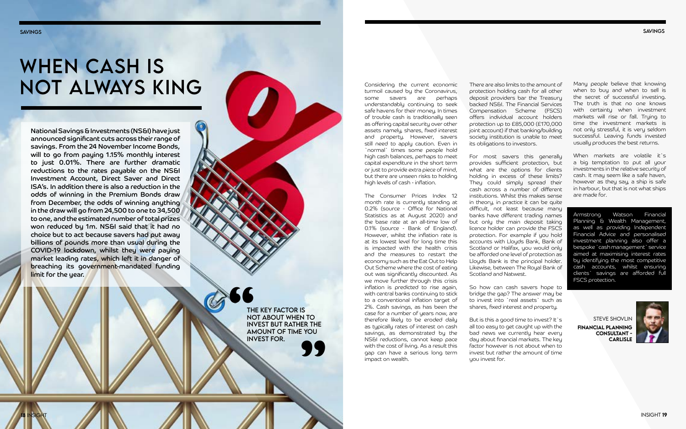savings

18 insi

## WHEN CASH IS not always king

steve shovlin Financial Planning Consultant - **CARLISLE** 



savings

insight 19

Considering the current economic turmoil caused by the Coronavirus, some savers are perhaps understandably continuing to seek safe havens for their money. In times of trouble cash is traditionally seen as offering capital security over other assets namely, shares, fixed interest and property. However, savers still need to apply caution. Even in `normal` times some people hold high cash balances, perhaps to meet capital expenditure in the short term or just to provide extra piece of mind, but there are unseen risks to holding high levels of cash - inflation.

The Consumer Prices Index 12 month rate is currently standing at 0.2% (source - Office for National Statistics as at August 2020) and the base rate at an all-time low of 0.1% (source - Bank of England). However, whilst the inflation rate is at its lowest level for long time this is impacted with the health crisis and the measures to restart the economy such as the Eat Out to Help Out Scheme where the cost of eating out was significantly discounted. As we move further through this crisis inflation is predicted to rise again, with central banks continuing to stick to a conventional inflation target of 2%. Cash savings, as has been the case for a number of years now, are therefore likely to be eroded daily as typically rates of interest on cash savings, as demonstrated by the NS&I reductions, cannot keep pace with the cost of living. As a result this gap can have a serious long term impact on wealth.

But is this a good time to invest? It`s all too easy to get caught up with the bad news we currently hear every day about financial markets. The key factor however is not about when to invest but rather the amount of time you invest for.

There are also limits to the amount of protection holding cash for all other deposit providers bar the Treasury backed NS&I. The Financial Services Compensation Scheme (FSCS) offers individual account holders protection up to £85,000 (£170,000 joint account) if that banking/building society institution is unable to meet its obligations to investors.

For most savers this generally provides sufficient protection, but what are the options for clients holding in excess of these limits? They could simply spread their cash across a number of different institutions. Whilst this makes sense in theory, in practice it can be quite difficult, not least because many banks have different trading names but only the main deposit taking licence holder can provide the FSCS protection. For example if you hold accounts with Lloyds Bank, Bank of Scotland or Halifax, you would only be afforded one level of protection as Lloyds Bank is the principal holder. Likewise, between The Royal Bank of Scotland and Natwest.

So how can cash savers hope to bridge the gap? The answer may be to invest into `real assets` such as shares, fixed interest and property.

National Savings & Investments (NS&I) have just announced significant cuts across their range of savings. From the 24 November Income Bonds, will to go from paying 1.15% monthly interest to just 0.01%. There are further dramatic reductions to the rates payable on the NS&I Investment Account, Direct Saver and Direct ISA's. In addition there is also a reduction in the odds of winning in the Premium Bonds draw from December, the odds of winning anything in the draw will go from 24,500 to one to 34,500 to one, and the estimated number of total prizes won reduced by 1m. NS&I said that it had no choice but to act because savers had put away billions of pounds more than usual during the COVID-19 lockdown, whilst they were paying market leading rates, which left it in danger of breaching its government-mandated funding limit for the year.

> **22**<br>**1**<br>**1**<br>**1** The key factor is not about when to invest but rather the amount of time you INVEST BUT RATHER THE<br>AMOUNT OF TIME YOU<br>INVEST FOR.

Many people believe that knowing when to buy and when to sell is the secret of successful investing. The truth is that no one knows with certainty when investment markets will rise or fall. Trying to time the investment markets is not only stressful, it is very seldom successful. Leaving funds invested usually produces the best returns.

When markets are volatile it`s a big temptation to put all your investments in the relative security of cash. It may seem like a safe haven, however as they say, a ship is safe in harbour, but that is not what ships are made for.

Armstrong Watson Financial Planning & Wealth Management, as well as providing Independent Financial Advice and personalised investment planning also offer a bespoke `cash management` service aimed at maximising interest rates by identifying the most competitive cash accounts, whilst ensuring clients` savings are afforded full FSCS protection.